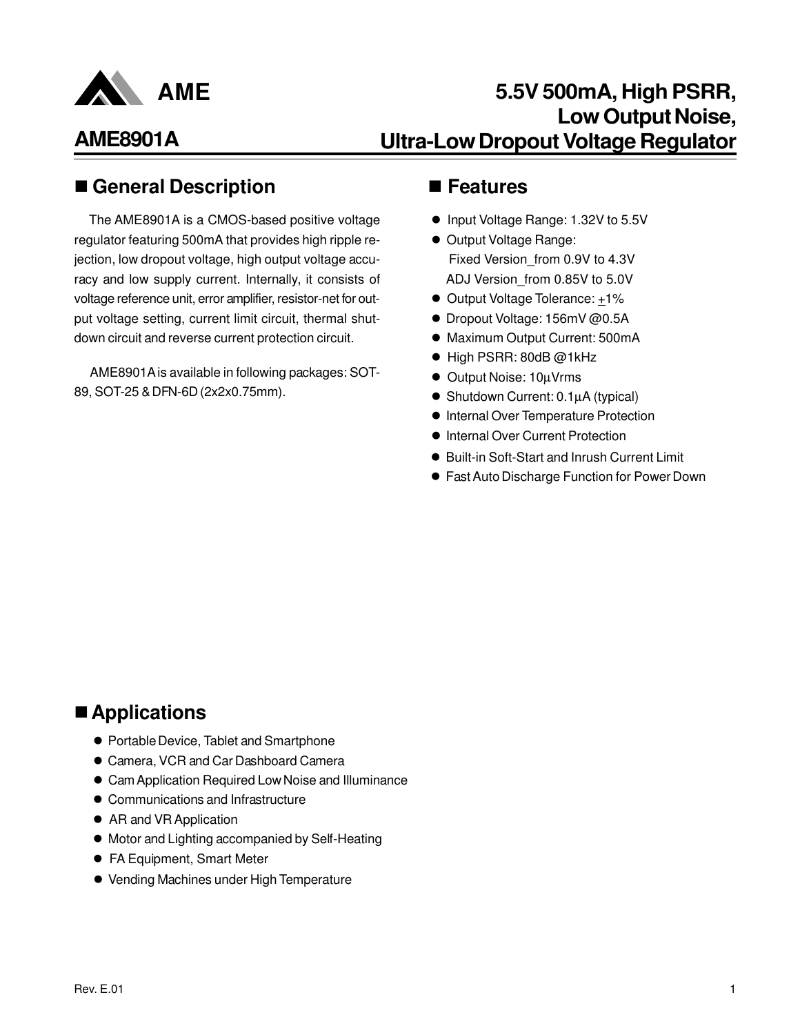

## **5.5V 500mA, High PSRR, Low Output Noise, Ultra-Low Dropout Voltage Regulator**

### ■ General Description ■ Features

The AME8901A is a CMOS-based positive voltage regulator featuring 500mA that provides high ripple rejection, low dropout voltage, high output voltage accuracy and low supply current. Internally, it consists of voltage reference unit, error amplifier, resistor-net for output voltage setting, current limit circuit, thermal shutdown circuit and reverse current protection circuit.

 AME8901A is available in following packages: SOT-89, SOT-25 & DFN-6D (2x2x0.75mm).

- Input Voltage Range: 1.32V to 5.5V
- Output Voltage Range: Fixed Version\_from 0.9V to 4.3V ADJ Version\_from 0.85V to 5.0V
- Output Voltage Tolerance: +1%
- Dropout Voltage: 156mV @0.5A
- Maximum Output Current: 500mA
- High PSRR: 80dB @1kHz
- Output Noise: 10µVrms
- $\bullet$  Shutdown Current: 0.1 $\mu$ A (typical)
- **Internal Over Temperature Protection**
- $\bullet$  Internal Over Current Protection
- Built-in Soft-Start and Inrush Current Limit
- **Fast Auto Discharge Function for Power Down**

### ■ Applications

- **Portable Device, Tablet and Smartphone**
- **Camera, VCR and Car Dashboard Camera**
- Cam Application Required Low Noise and Illuminance
- Communications and Infrastructure
- AR and VR Application
- $\bullet$  Motor and Lighting accompanied by Self-Heating
- **FA Equipment, Smart Meter**
- Vending Machines under High Temperature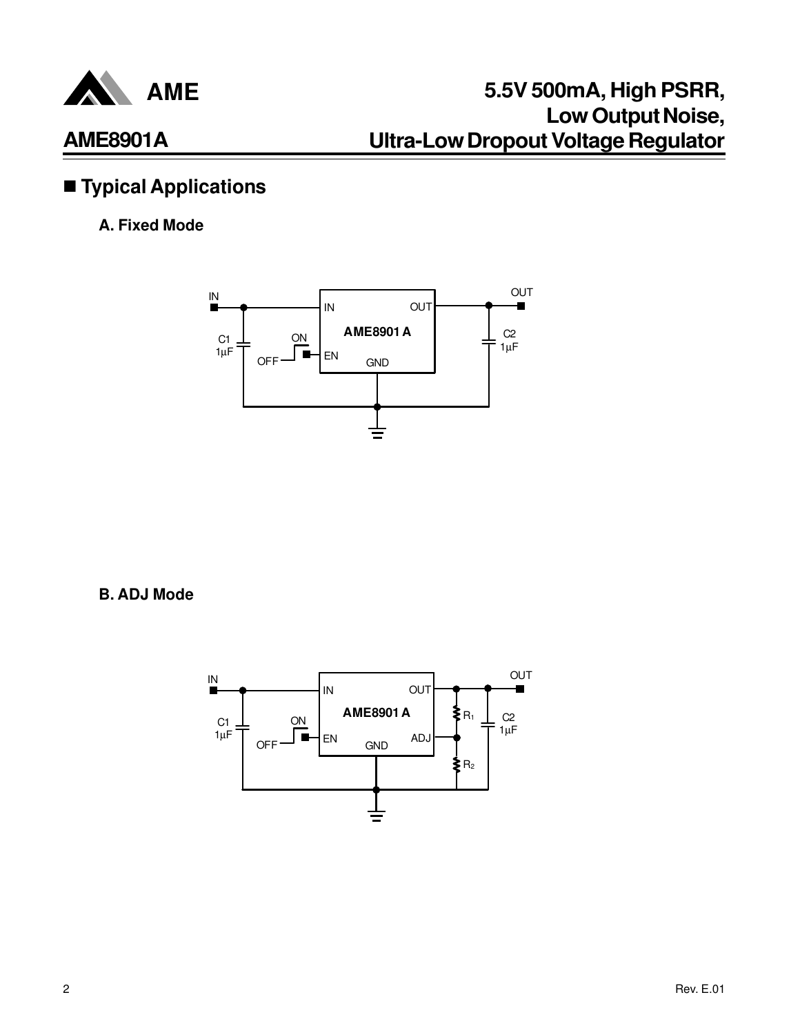

## $\blacksquare$  Typical Applications

#### **A. Fixed Mode**



**B. ADJ Mode**

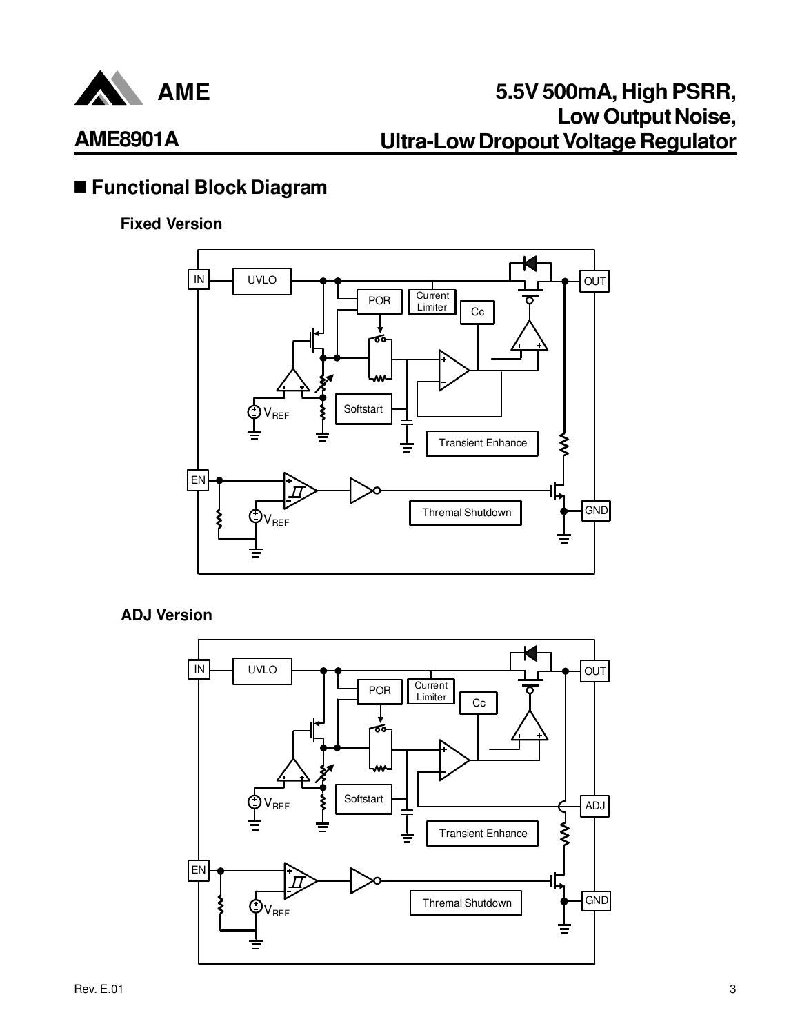

### n **Functional Block Diagram**

#### **Fixed Version**



#### **ADJ Version**

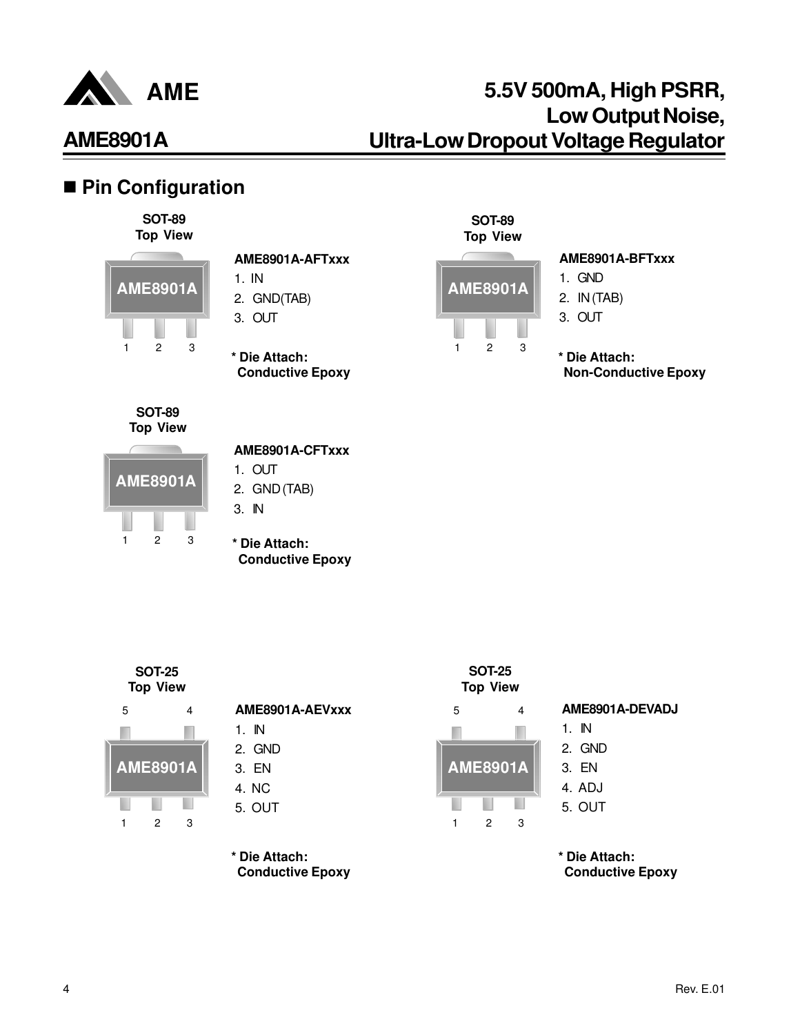

## n **Pin Configuration**

**SOT-89 Top View**



#### **AME8901A-AFTxxx**

- 1. IN
- 2. GND(TAB)
- 3. OUT

**\* Die Attach: Conductive Epoxy** 



#### **AME8901A-BFTxxx**

- 1. GND 2. IN (TAB)
- 3. OUT

**\* Die Attach: Non-Conductive Epoxy** 



**AME8901A**

 $1 \quad 2 \quad 3$ 

#### **AME8901A-CFTxxx**

- 1. OUT
- 2. GND (TAB)
- 3. IN
- **\* Die Attach:**
	- **Conductive Epoxy**



 $1 \quad 2 \quad 3$ 

ш

| AME8901A-AEVxxx |
|-----------------|
| 1. IN           |
| 2. GND          |

- 3. EN
- 4. NC
- 5. OUT

**\* Die Attach:**

**Conductive Epoxy** 



**SOT-25**

#### **AME8901A-DEVADJ**

- 1. IN
- 2. GND 3. EN
- 4. ADJ
- 5. OUT
- **\* Die Attach: Conductive Epoxy**

4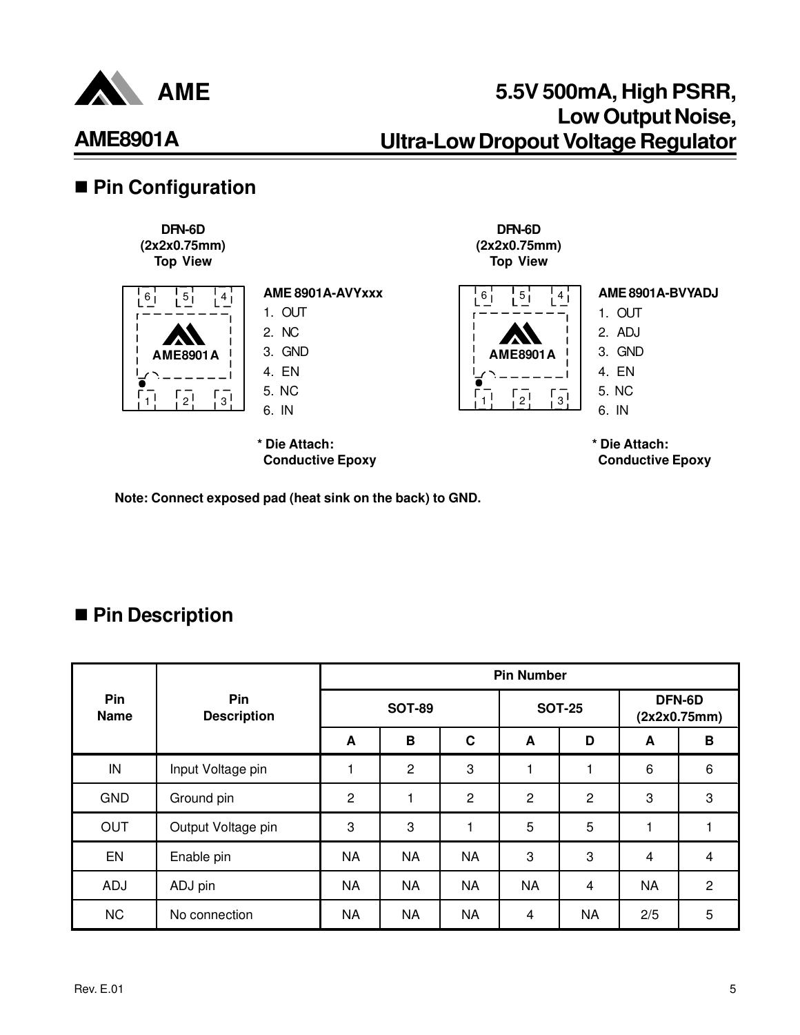

# **AME8901A**

## ■ Pin Configuration



**Note: Connect exposed pad (heat sink on the back) to GND.**

## ■ Pin Description

|                    |                           | <b>Pin Number</b> |                |                |                |                |                         |                |
|--------------------|---------------------------|-------------------|----------------|----------------|----------------|----------------|-------------------------|----------------|
| Pin<br><b>Name</b> | Pin<br><b>Description</b> | <b>SOT-89</b>     |                |                | <b>SOT-25</b>  |                | DFN-6D<br>(2x2x0.75mm)  |                |
|                    |                           | A                 | B              | $\mathbf c$    | A              | D              | A                       | B              |
| IN                 | Input Voltage pin         |                   | $\overline{2}$ | 3              |                | 1              | 6                       | 6              |
| <b>GND</b>         | Ground pin                | $\overline{c}$    |                | $\overline{2}$ | $\overline{c}$ | $\overline{2}$ | 3                       | 3              |
| <b>OUT</b>         | Output Voltage pin        | 3                 | 3              | 1              | 5              | 5              | 1                       |                |
| EN                 | Enable pin                | NA                | <b>NA</b>      | <b>NA</b>      | 3              | 3              | $\overline{\mathbf{4}}$ | 4              |
| ADJ                | ADJ pin                   | NA                | <b>NA</b>      | <b>NA</b>      | <b>NA</b>      | 4              | <b>NA</b>               | $\overline{2}$ |
| <b>NC</b>          | No connection             | NA                | <b>NA</b>      | <b>NA</b>      | 4              | <b>NA</b>      | 2/5                     | 5              |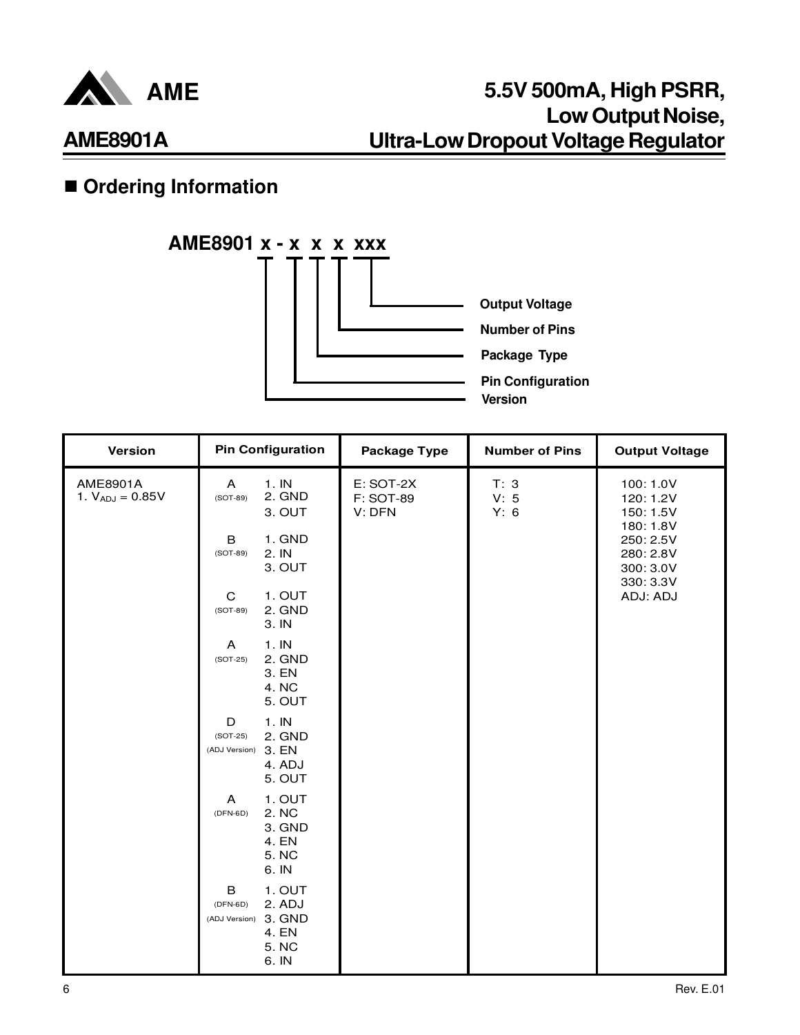

## **n** Ordering Information



| <b>Version</b>                   | <b>Pin Configuration</b>                                                               | <b>Package Type</b>                     | <b>Number of Pins</b> | <b>Output Voltage</b>                            |
|----------------------------------|----------------------------------------------------------------------------------------|-----------------------------------------|-----------------------|--------------------------------------------------|
| AME8901A<br>1. $V_{ADJ} = 0.85V$ | 1.1N<br>A<br>2. GND<br>$(SOT-89)$<br>3. OUT                                            | E: SOT-2X<br><b>F: SOT-89</b><br>V: DFN | T: 3<br>V: 5<br>Y: 6  | 100: 1.0V<br>120: 1.2V<br>150: 1.5V<br>180: 1.8V |
|                                  | 1. GND<br>B<br>2. IN<br>$(SOT-89)$<br>3. OUT                                           |                                         |                       | 250: 2.5V<br>280: 2.8V<br>300: 3.0V<br>330: 3.3V |
|                                  | 1. OUT<br>C<br>2. GND<br>$(SOT-89)$<br>3. IN                                           |                                         |                       | ADJ: ADJ                                         |
|                                  | 1.1N<br>A<br>2. GND<br>$(SOT-25)$<br>3. EN<br>4. NC<br>5. OUT                          |                                         |                       |                                                  |
|                                  | 1.1N<br>D<br>$(SOT-25)$<br>2. GND<br>(ADJ Version) 3. EN<br>4. ADJ<br>5. OUT           |                                         |                       |                                                  |
|                                  | 1. OUT<br>A<br>2. NC<br>$(DFN-6D)$<br>3. GND<br>4. EN<br>5. NC<br>6. IN                |                                         |                       |                                                  |
|                                  | 1. OUT<br>B<br>2. ADJ<br>$(DFN-6D)$<br>(ADJ Version) 3. GND<br>4. EN<br>5. NC<br>6. IN |                                         |                       |                                                  |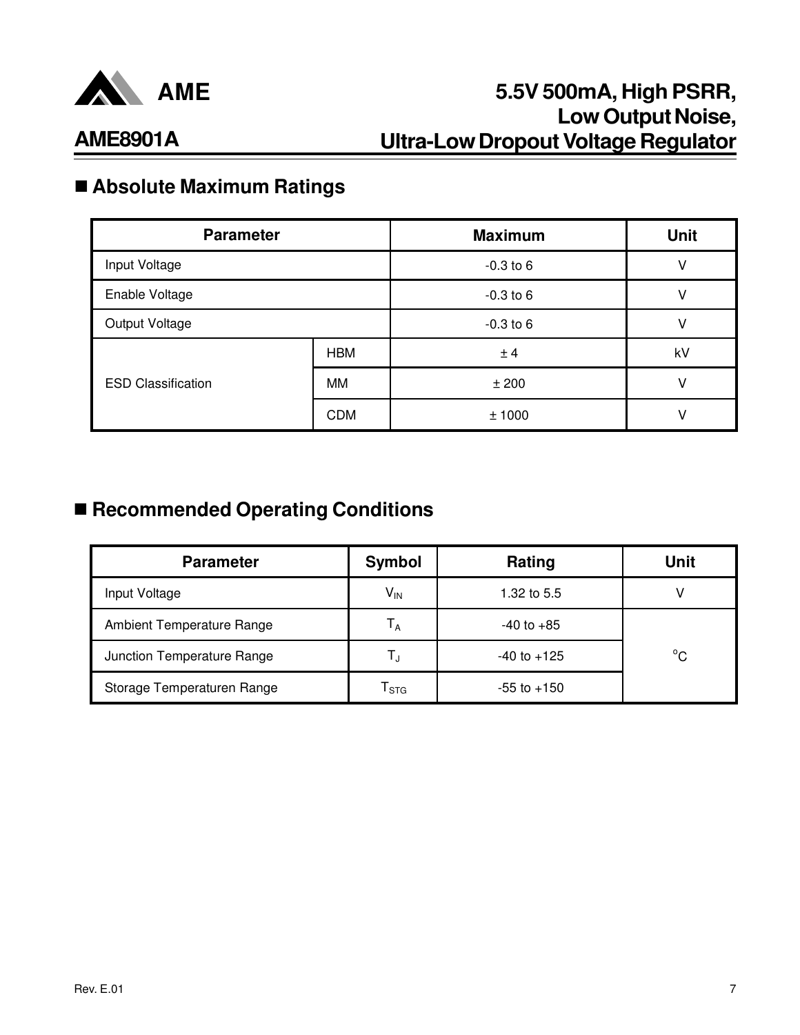

# n **Absolute Maximum Ratings**

| <b>Parameter</b>          |            | <b>Maximum</b> | <b>Unit</b> |
|---------------------------|------------|----------------|-------------|
| Input Voltage             |            | $-0.3$ to 6    | ٧           |
| Enable Voltage            |            | $-0.3$ to 6    | V           |
| Output Voltage            |            | $-0.3$ to 6    | ν           |
|                           | <b>HBM</b> | ± 4            | kV          |
| <b>ESD Classification</b> | MM         | ±200           | ν           |
|                           | <b>CDM</b> | ±1000          | ν           |

## ■ Recommended Operating Conditions

| <b>Parameter</b>           | Symbol           | Rating          | Unit         |
|----------------------------|------------------|-----------------|--------------|
| Input Voltage              | $V_{IN}$         | 1.32 to 5.5     |              |
| Ambient Temperature Range  | Т <sub>а</sub>   | $-40$ to $+85$  |              |
| Junction Temperature Range | L,               | $-40$ to $+125$ | $^{\circ}$ C |
| Storage Temperaturen Range | l <sub>STG</sub> | $-55$ to $+150$ |              |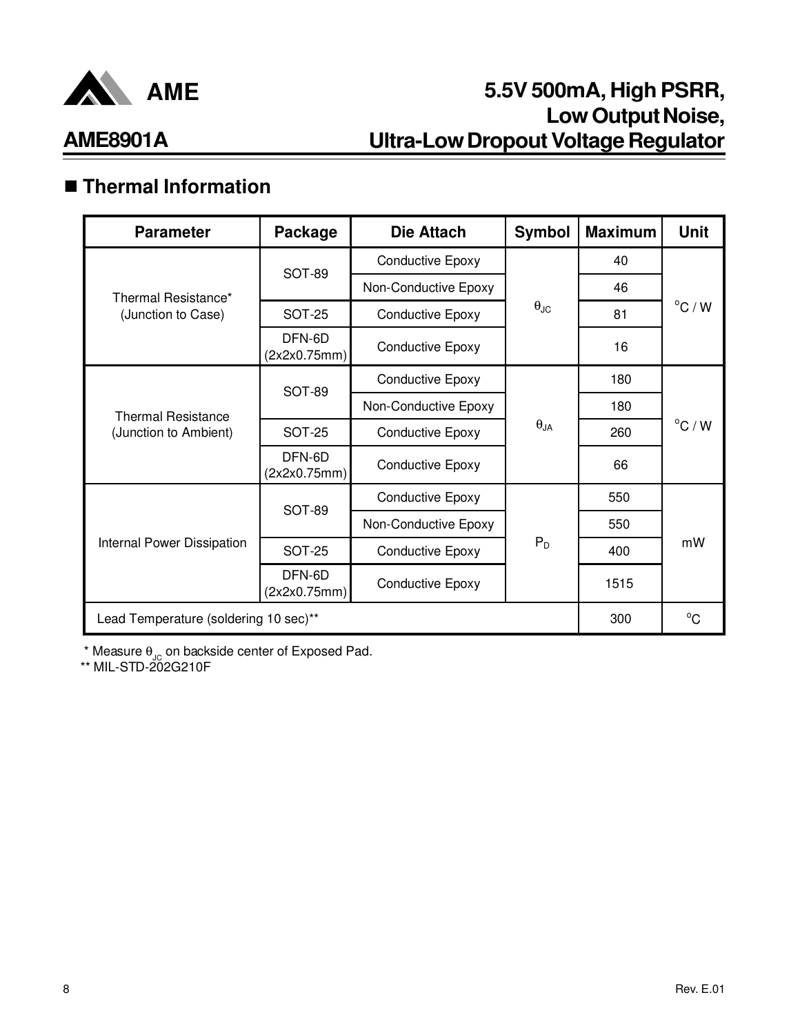

# n **Thermal Information**

| <b>Parameter</b>                      | Package                | Die Attach              | <b>Symbol</b>        | <b>Maximum</b> | <b>Unit</b>      |
|---------------------------------------|------------------------|-------------------------|----------------------|----------------|------------------|
|                                       | SOT-89                 | <b>Conductive Epoxy</b> |                      | 40             |                  |
| Thermal Resistance*                   |                        | Non-Conductive Epoxy    |                      | 46             |                  |
| (Junction to Case)                    | <b>SOT-25</b>          | <b>Conductive Epoxy</b> | $\theta_{\text{JC}}$ | 81             | $^{\circ}$ C / W |
|                                       | DFN-6D<br>(2x2x0.75mm) | <b>Conductive Epoxy</b> |                      |                |                  |
| <b>Thermal Resistance</b>             | SOT-89                 | <b>Conductive Epoxy</b> |                      | 180            | $^{\circ}$ C / W |
|                                       |                        | Non-Conductive Epoxy    |                      | 180            |                  |
| (Junction to Ambient)                 | <b>SOT-25</b>          | <b>Conductive Epoxy</b> | $\theta_{JA}$        | 260            |                  |
|                                       | DFN-6D<br>(2x2x0.75mm) | <b>Conductive Epoxy</b> |                      | 66             |                  |
|                                       | SOT-89                 | <b>Conductive Epoxy</b> |                      | 550            |                  |
|                                       |                        | Non-Conductive Epoxy    |                      | 550            | mW               |
| Internal Power Dissipation            | <b>SOT-25</b>          | <b>Conductive Epoxy</b> | $P_D$                | 400            |                  |
|                                       | DFN-6D<br>(2x2x0.75mm) | <b>Conductive Epoxy</b> |                      | 1515           |                  |
| Lead Temperature (soldering 10 sec)** |                        |                         |                      | 300            | $^{\circ}$ C     |

 $^{\star}$  Measure  $\theta_{\text{JC}}$  on backside center of Exposed Pad.

\*\* MIL-STD-202G210F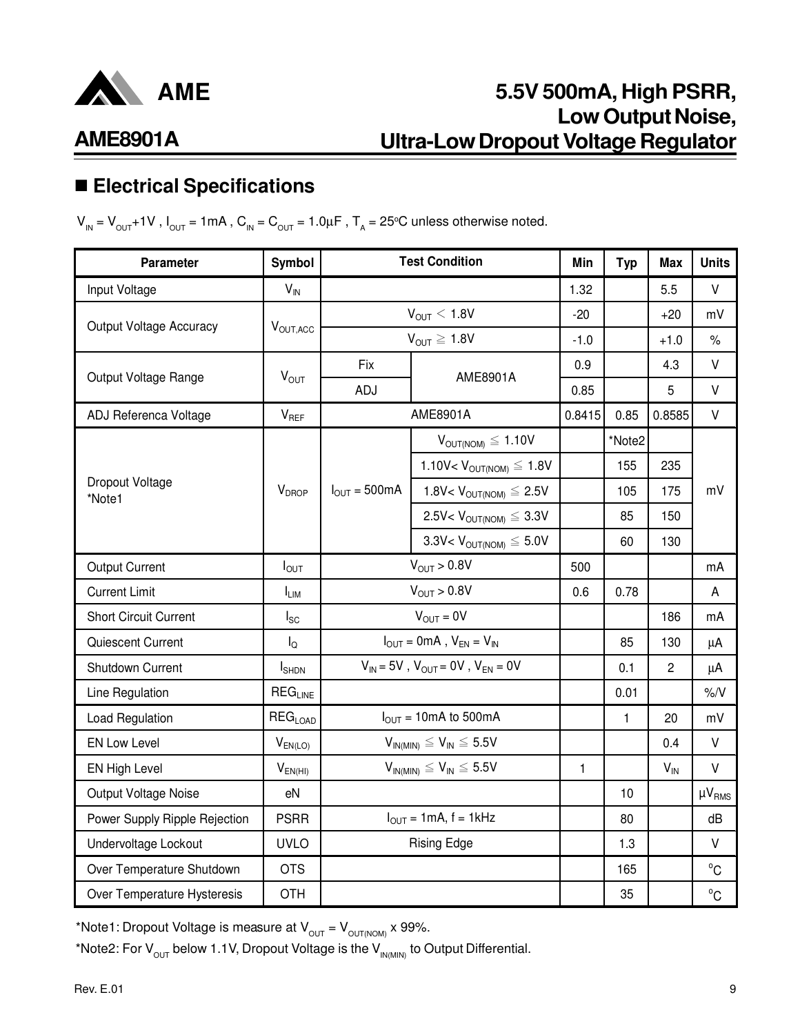

## **AME8901A**

## n **Electrical Specifications**

 ${\sf V}_{_{\sf IN}}$  =  ${\sf V}_{_{\sf OUT}}$ +1V , I<sub>OUT</sub> = 1mA , C<sub>IN</sub> = C<sub>OUT</sub> = 1.0 $\mu$ F , T<sub>A</sub> = 25°C unless otherwise noted.

| <b>Parameter</b>               | Symbol                |                                     | <b>Test Condition</b>                        | Min          | <b>Typ</b> | <b>Max</b>     | <b>Units</b>  |
|--------------------------------|-----------------------|-------------------------------------|----------------------------------------------|--------------|------------|----------------|---------------|
| Input Voltage                  | $V_{\text{IN}}$       |                                     |                                              | 1.32         |            | 5.5            | $\vee$        |
|                                |                       |                                     | $V_{OUT} < 1.8V$                             | $-20$        |            | $+20$          | mV            |
| <b>Output Voltage Accuracy</b> | V <sub>OUT, ACC</sub> |                                     | $V_{OUT} \ge 1.8V$                           | $-1.0$       |            | $+1.0$         | $\%$          |
|                                |                       | Fix                                 | AME8901A                                     | 0.9          |            | 4.3            | $\mathsf V$   |
| Output Voltage Range           | $V_{OUT}$             | ADJ                                 |                                              | 0.85         |            | 5              | $\vee$        |
| ADJ Referenca Voltage          | $V_{REF}$             |                                     | AME8901A                                     | 0.8415       | 0.85       | 0.8585         | $\vee$        |
|                                |                       |                                     | $V_{OUT(NOM)} \leq 1.10V$                    |              | *Note2     |                |               |
|                                |                       |                                     | 1.10V< $V_{OUT(NOM)} \leq 1.8V$              |              | 155        | 235            |               |
| Dropout Voltage<br>*Note1      | $V_{DROP}$            | $I_{\text{OUT}} = 500 \text{mA}$    | 1.8V< $V_{\text{OUT(NOM)}} \leq 2.5V$        |              | 105        | 175            | mV            |
|                                |                       |                                     | $2.5V< VOUT(NOM) \leq 3.3V$                  |              | 85         | 150            |               |
|                                |                       | 3.3V< $V_{OUT(NOM)} \leq 5.0V$      |                                              |              | 60         | 130            |               |
| <b>Output Current</b>          | $I_{OUT}$             |                                     | $V_{OUT} > 0.8V$                             | 500          |            |                | mA            |
| <b>Current Limit</b>           | $I_{LIM}$             |                                     | $V_{OUIT} > 0.8V$                            | 0.6          | 0.78       |                | A             |
| <b>Short Circuit Current</b>   | $I_{SC}$              |                                     | $V_{OUT} = 0V$                               |              |            | 186            | mA            |
| Quiescent Current              | $I_{\Omega}$          |                                     | $I_{OUT} = 0mA$ , $V_{EN} = V_{IN}$          |              | 85         | 130            | μA            |
| Shutdown Current               | $I_{\text{SHDN}}$     |                                     | $V_{IN}$ = 5V, $V_{OUT}$ = 0V, $V_{EN}$ = 0V |              | 0.1        | $\overline{2}$ | μA            |
| Line Regulation                | $REG$ <sub>LINE</sub> |                                     |                                              |              | 0.01       |                | $\%N$         |
| Load Regulation                | $REG_{LOAD}$          |                                     | $I_{OUT} = 10mA$ to 500mA                    |              | 1          | 20             | mV            |
| <b>EN Low Level</b>            | $V_{EN(LO)}$          |                                     | $V_{IN(MIN)} \leq V_{IN} \leq 5.5V$          |              |            | 0.4            | $\vee$        |
| EN High Level                  | $V_{EN(HI)}$          | $V_{IN(MIN)} \leq V_{IN} \leq 5.5V$ |                                              | $\mathbf{1}$ |            | $V_{IN}$       | $\vee$        |
| Output Voltage Noise           | eN                    |                                     |                                              |              | 10         |                | $\mu V_{RMS}$ |
| Power Supply Ripple Rejection  | <b>PSRR</b>           | $I_{OUT} = 1mA, f = 1kHz$           |                                              |              | 80         |                | dB            |
| Undervoltage Lockout           | <b>UVLO</b>           | <b>Rising Edge</b>                  |                                              |              | 1.3        |                | $\vee$        |
| Over Temperature Shutdown      | <b>OTS</b>            |                                     |                                              |              | 165        |                | $^{\circ}$ C  |
| Over Temperature Hysteresis    | <b>OTH</b>            |                                     |                                              |              | 35         |                | $^{\circ}$ C  |

\*Note1: Dropout Voltage is measure at  $V_{\text{OUT}} = V_{\text{OUT(NOM)}} \times 99\%.$ 

\*Note2: For  $V_{\text{OUT}}$  below 1.1V, Dropout Voltage is the  $V_{IN(MIN)}$  to Output Differential.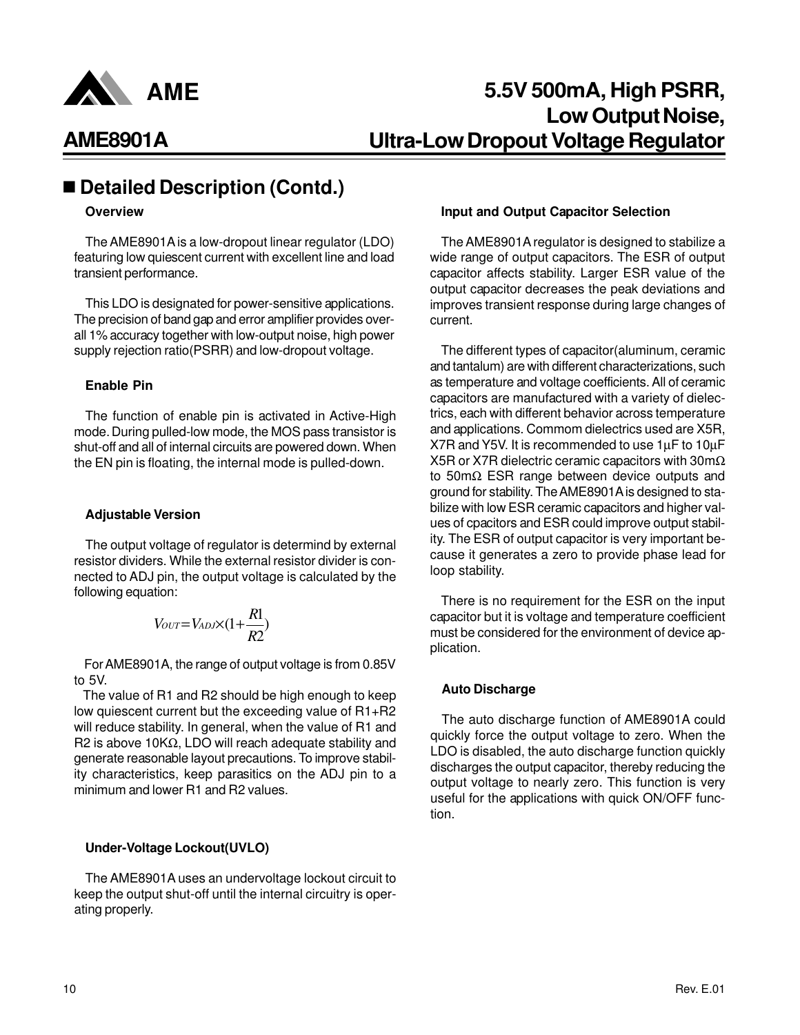

### ■ Detailed Description (Contd.)

#### **Overview**

The AME8901A is a low-dropout linear regulator (LDO) featuring low quiescent current with excellent line and load transient performance.

This LDO is designated for power-sensitive applications. The precision of band gap and error amplifier provides overall 1% accuracy together with low-output noise, high power supply rejection ratio(PSRR) and low-dropout voltage.

#### **Enable Pin**

The function of enable pin is activated in Active-High mode. During pulled-low mode, the MOS pass transistor is shut-off and all of internal circuits are powered down. When the EN pin is floating, the internal mode is pulled-down.

#### **Adjustable Version**

The output voltage of regulator is determind by external resistor dividers. While the external resistor divider is connected to ADJ pin, the output voltage is calculated by the following equation:

$$
V_{OUT}=V_{ADJ}\times(1+\frac{R1}{R2})
$$

 For AME8901A, the range of output voltage is from 0.85V to 5V.

 The value of R1 and R2 should be high enough to keep low quiescent current but the exceeding value of R1+R2 will reduce stability. In general, when the value of R1 and R2 is above 10KΩ, LDO will reach adequate stability and generate reasonable layout precautions. To improve stability characteristics, keep parasitics on the ADJ pin to a minimum and lower R1 and R2 values.

#### **Under-Voltage Lockout(UVLO)**

The AME8901A uses an undervoltage lockout circuit to keep the output shut-off until the internal circuitry is operating properly.

#### **Input and Output Capacitor Selection**

The AME8901A regulator is designed to stabilize a wide range of output capacitors. The ESR of output capacitor affects stability. Larger ESR value of the output capacitor decreases the peak deviations and improves transient response during large changes of current.

The different types of capacitor(aluminum, ceramic and tantalum) are with different characterizations, such as temperature and voltage coefficients. All of ceramic capacitors are manufactured with a variety of dielectrics, each with different behavior across temperature and applications. Commom dielectrics used are X5R, X7R and Y5V. It is recommended to use 1µF to 10µF X5R or X7R dielectric ceramic capacitors with 30mΩ to 50mΩ ESR range between device outputs and ground for stability. The AME8901A is designed to stabilize with low ESR ceramic capacitors and higher values of cpacitors and ESR could improve output stability. The ESR of output capacitor is very important because it generates a zero to provide phase lead for loop stability.

There is no requirement for the ESR on the input capacitor but it is voltage and temperature coefficient must be considered for the environment of device application.

#### **Auto Discharge**

The auto discharge function of AME8901A could quickly force the output voltage to zero. When the LDO is disabled, the auto discharge function quickly discharges the output capacitor, thereby reducing the output voltage to nearly zero. This function is very useful for the applications with quick ON/OFF function.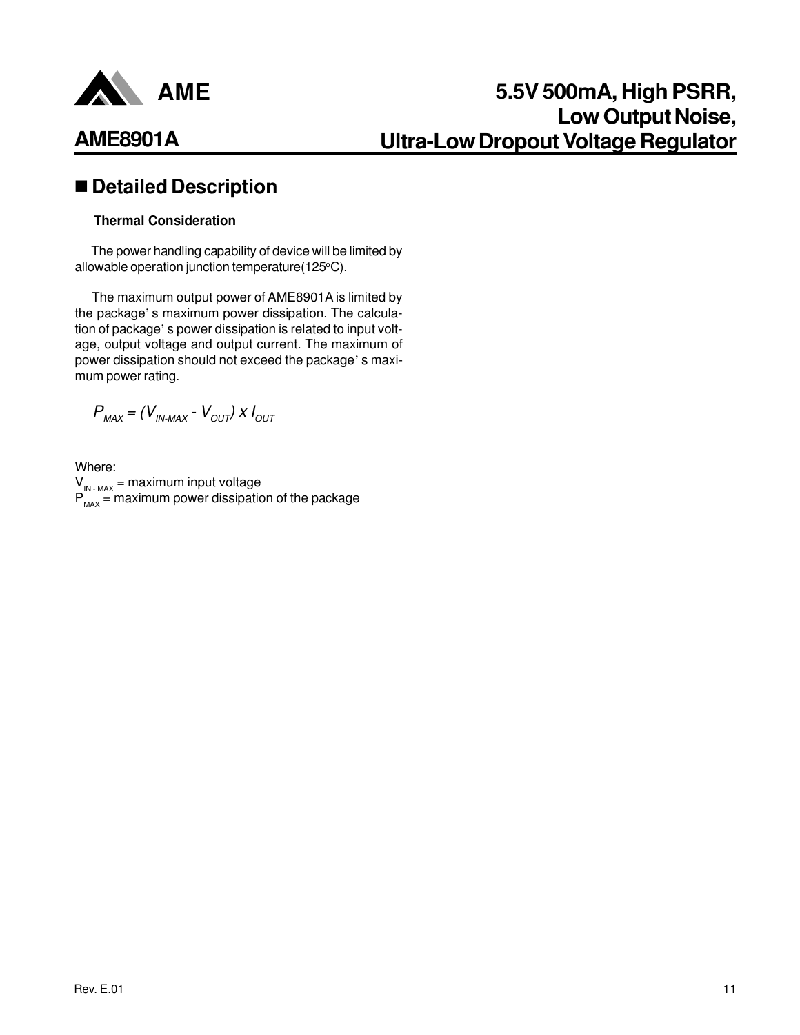

### n **Detailed Description**

#### **Thermal Consideration**

 The power handling capability of device will be limited by allowable operation junction temperature(125°C).

 The maximum output power of AME8901A is limited by the package' s maximum power dissipation. The calculation of package' s power dissipation is related to input voltage, output voltage and output current. The maximum of power dissipation should not exceed the package' s maximum power rating.

 $P_{MAX} = (V_{IN-MAX} - V_{OUT}) \times I_{OUT}$ 

Where:  $V_{IN-MAX}$  = maximum input voltage  $P_{MAX}$  = maximum power dissipation of the package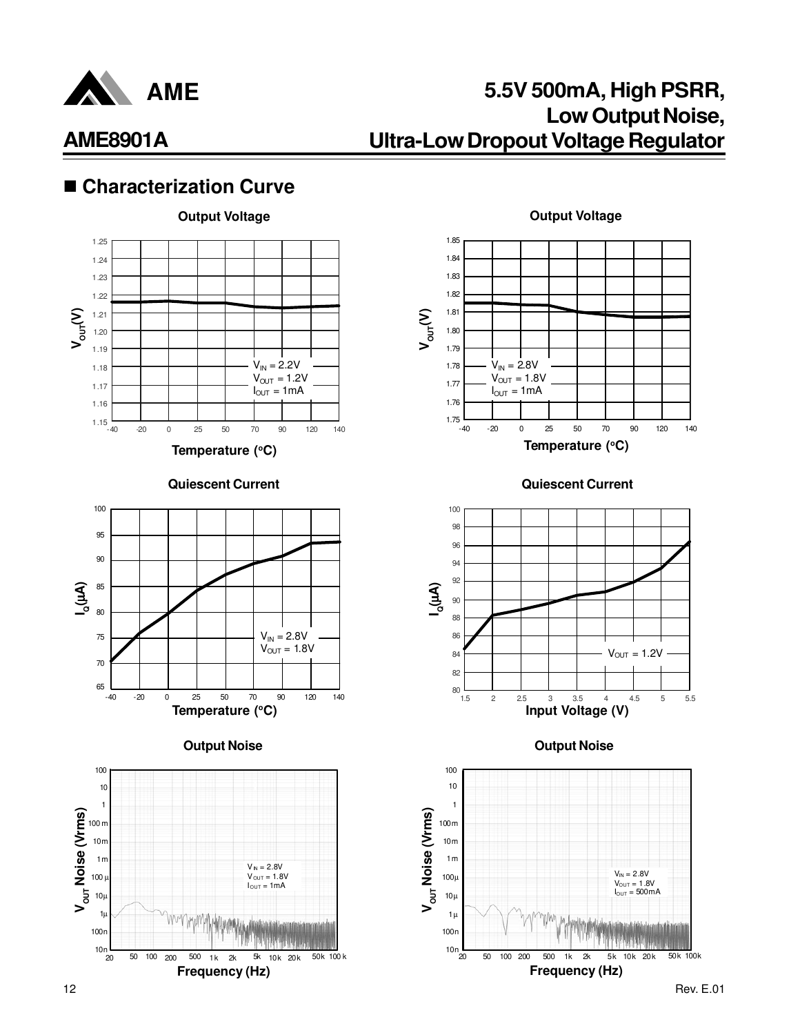

### ■ Characterization Curve



**Quiescent Current**







**Output Voltage**



**Quiescent Current**





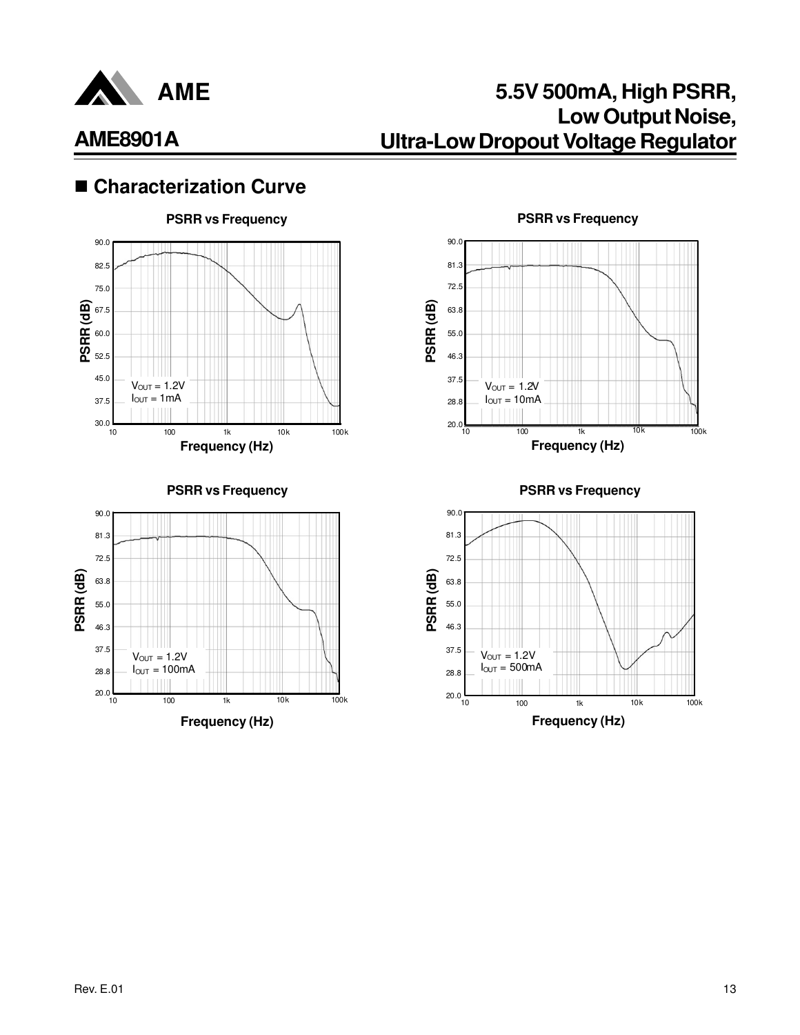

## **5.5V 500mA, High PSRR, Low Output Noise, Ultra-Low Dropout Voltage Regulator**

### ■ Characterization Curve



#### **Frequency (Hz) PSRR (dB) PSRR vs Frequency** 90.0 37.5 55.0 63.8 72.5 81.3 46.3 28.8  $20.0$ 10 100 1k 10k 100k  $V_{OUT} = 1.2V$  $I_{OUT} = 10mA$

**PSRR vs Frequency**



**PSRR vs Frequency**

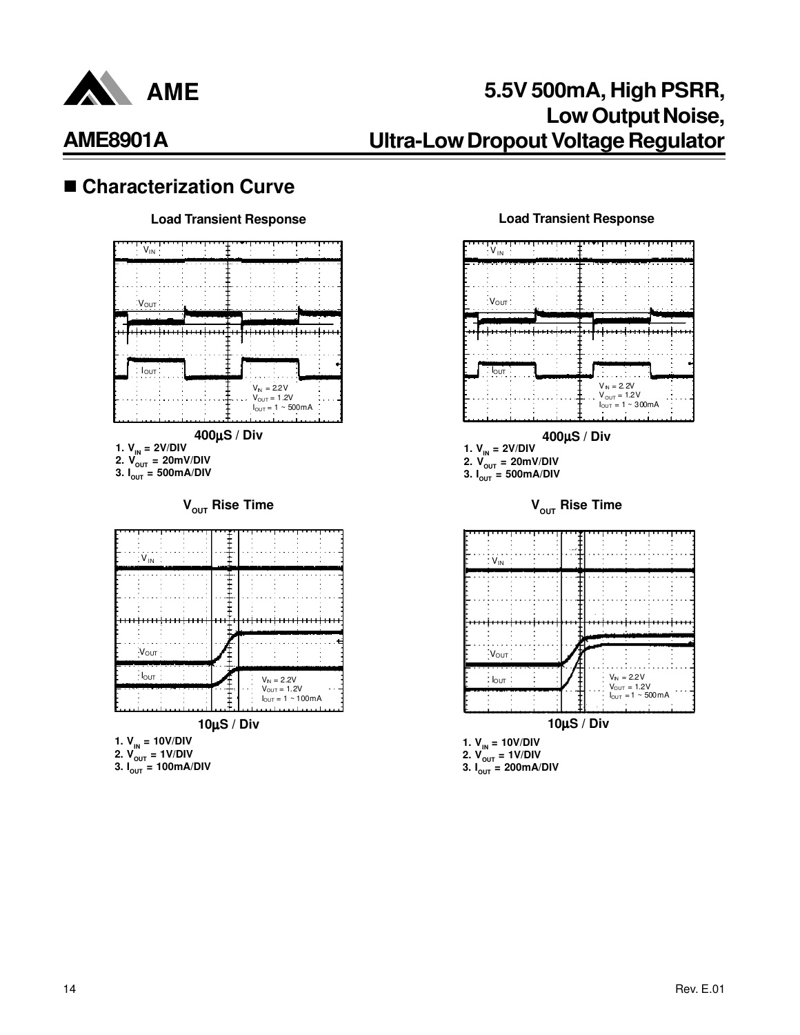

### ■ Characterization Curve

#### **Load Transient Response Load Transient Response**



**10**µ**S / Div**

- **1. VIN = 10V/DIV**
- **2. VOUT = 1V/DIV**
- **3. IOUT = 100mA/DIV**



**1. VIN = 10V/DIV 2. VOUT = 1V/DIV 3. IOUT = 200mA/DIV**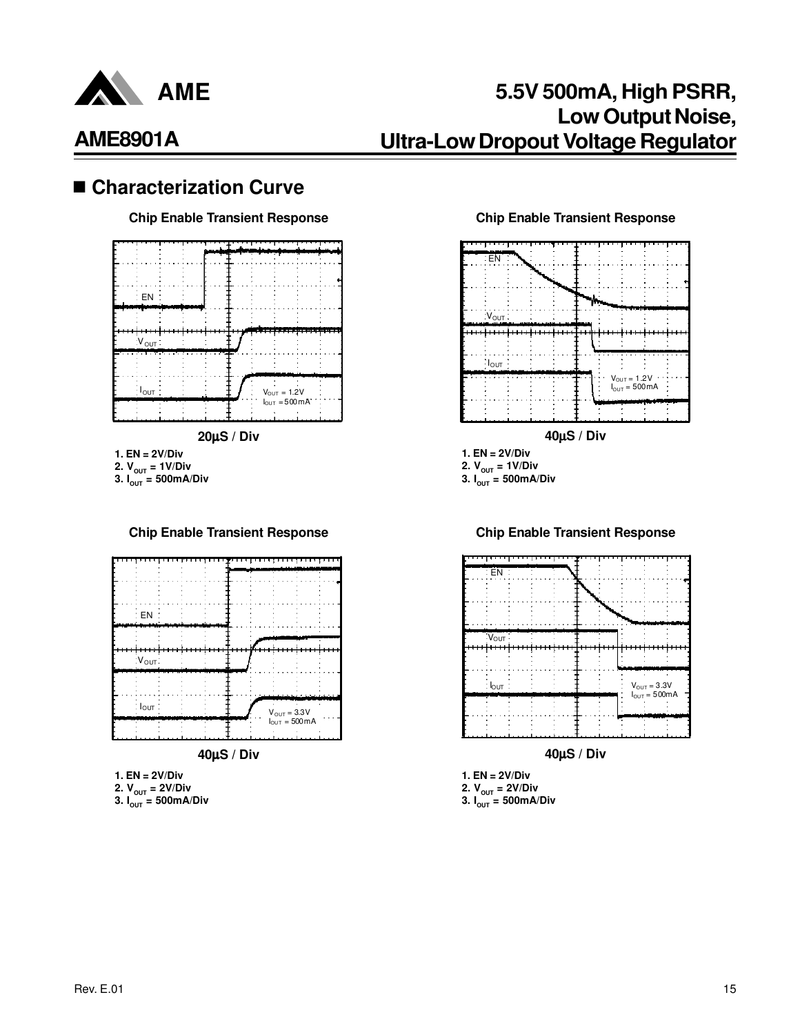

# **AME8901A**

### ■ Characterization Curve



**2.**  $V_{\text{OUT}} = 1 \text{V/Div}$ **3.**  $I_{\text{OUT}} = 500 \text{mA/Div}$ 

#### **Chip Enable Transient Response Chip Enable Transient Response**



**1. EN = 2V/Div**

- **2.**  $V_{\text{OUT}} = 2V/Div$
- **3.**  $I_{\text{OUT}} = 500 \text{mA/Div}$

#### **Chip Enable Transient Response Chip Enable Transient Response**





**40**µ**S / Div**

**1. EN = 2V/Div 2. VOUT = 2V/Div 3. IOUT = 500mA/Div**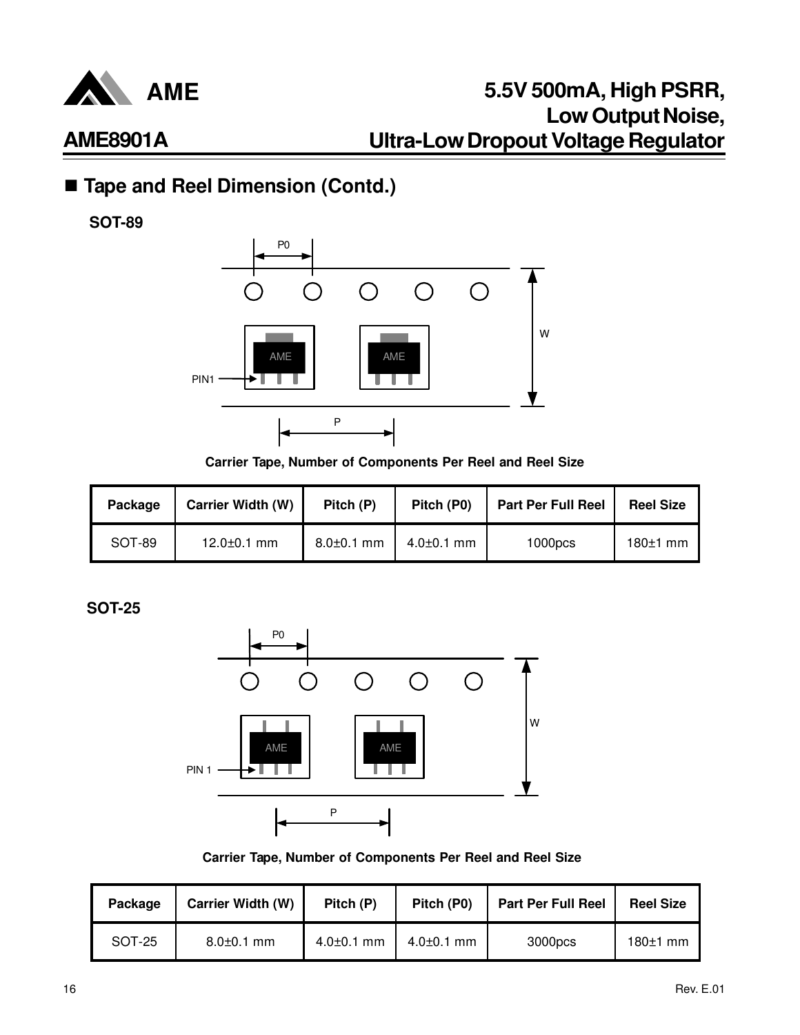

## ■ Tape and Reel Dimension (Contd.)

**SOT-89**



**Carrier Tape, Number of Components Per Reel and Reel Size**

| Package | <b>Carrier Width (W)</b> | Pitch (P)        | Pitch (P0)       | <b>Part Per Full Reel</b> | <b>Reel Size</b> |
|---------|--------------------------|------------------|------------------|---------------------------|------------------|
| SOT-89  | $12.0 \pm 0.1$ mm        | $8.0 \pm 0.1$ mm | $4.0{\pm}0.1$ mm | 1000 <sub>DCS</sub>       | $180±1$ mm       |

**SOT-25**



**Carrier Tape, Number of Components Per Reel and Reel Size**

| Package | Carrier Width (W) | Pitch (P)        | Pitch (P0)       | <b>Part Per Full Reel</b> | <b>Reel Size</b> |
|---------|-------------------|------------------|------------------|---------------------------|------------------|
| SOT-25  | $8.0 \pm 0.1$ mm  | $4.0 \pm 0.1$ mm | $4.0{\pm}0.1$ mm | 3000pcs                   | $180±1$ mm       |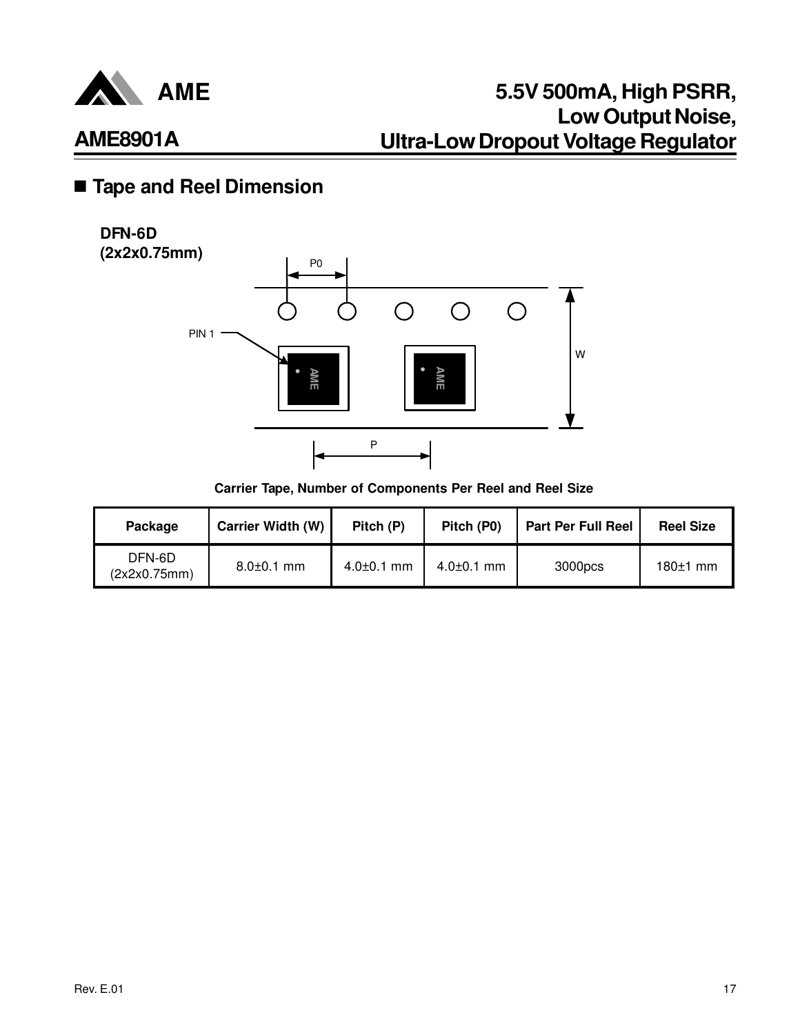

## n **Tape and Reel Dimension**

#### **DFN-6D (2x2x0.75mm)**



**Carrier Tape, Number of Components Per Reel and Reel Size**

| Package                | <b>Carrier Width (W)</b> | Pitch (P)        | Pitch (P0)       | <b>Part Per Full Reel</b> | <b>Reel Size</b> |
|------------------------|--------------------------|------------------|------------------|---------------------------|------------------|
| DFN-6D<br>(2x2x0.75mm) | $8.0 \pm 0.1$ mm         | $4.0{\pm}0.1$ mm | $4.0{\pm}0.1$ mm | 3000pcs                   | $180±1$ mm       |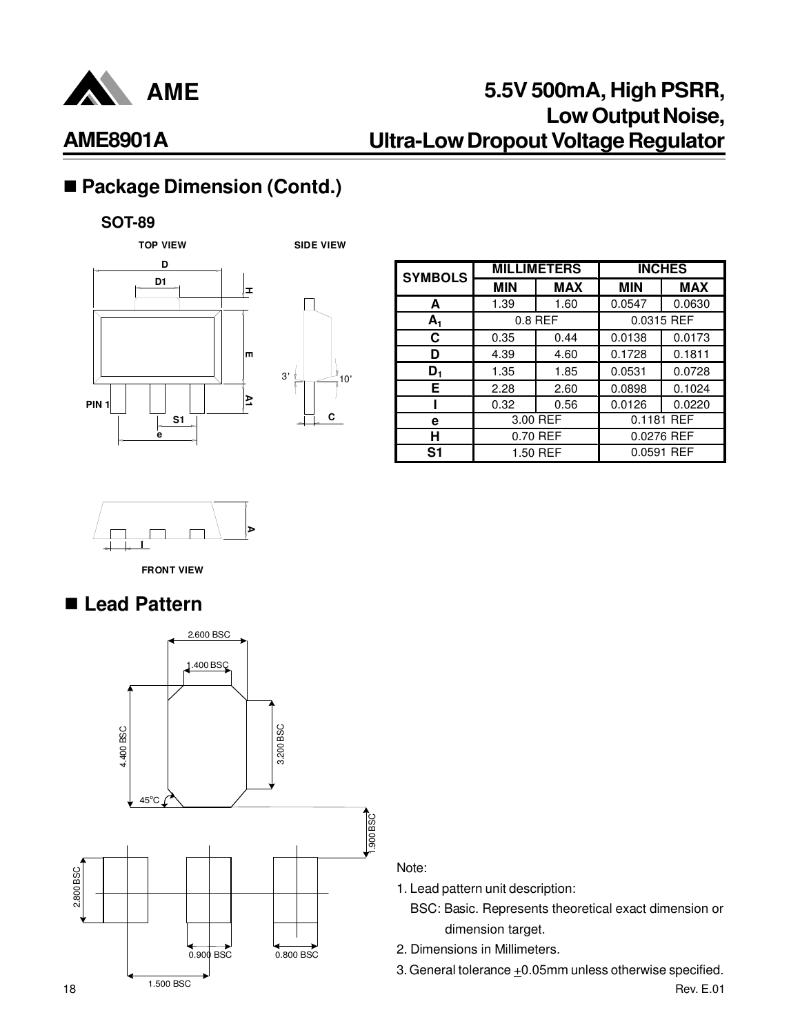

# ■ Package Dimension (Contd.)

#### **SOT-89**



| <b>SYMBOLS</b> |            | <b>MILLIMETERS</b> | <b>INCHES</b> |            |  |
|----------------|------------|--------------------|---------------|------------|--|
|                | <b>MIN</b> | <b>MAX</b>         | <b>MIN</b>    | <b>MAX</b> |  |
| A              | 1.39       | 1.60               | 0.0547        | 0.0630     |  |
| $A_1$          |            | $0.8$ REF          |               | 0.0315 REF |  |
| С              | 0.35       | 0.44               | 0.0138        | 0.0173     |  |
| n              | 4.39       | 4.60               | 0.1728        | 0.1811     |  |
| D,             | 1.35       | 1.85               | 0.0531        | 0.0728     |  |
| Е              | 2.28       | 2.60               | 0.0898        | 0.1024     |  |
|                | 0.32       | 0.56               | 0.0126        | 0.0220     |  |
| е              |            | 3.00 REF           |               | 0.1181 REF |  |
| н              | 0.70 REF   |                    | 0.0276 REF    |            |  |
| S1             |            | 1.50 REF           |               | 0.0591 REF |  |



**FRONT VIEW**

## n **Lead Pattern**



Note:

- 1. Lead pattern unit description:
	- BSC: Basic. Represents theoretical exact dimension or dimension target.
- 2. Dimensions in Millimeters.
- 3. General tolerance  $\pm 0.05$ mm unless otherwise specified.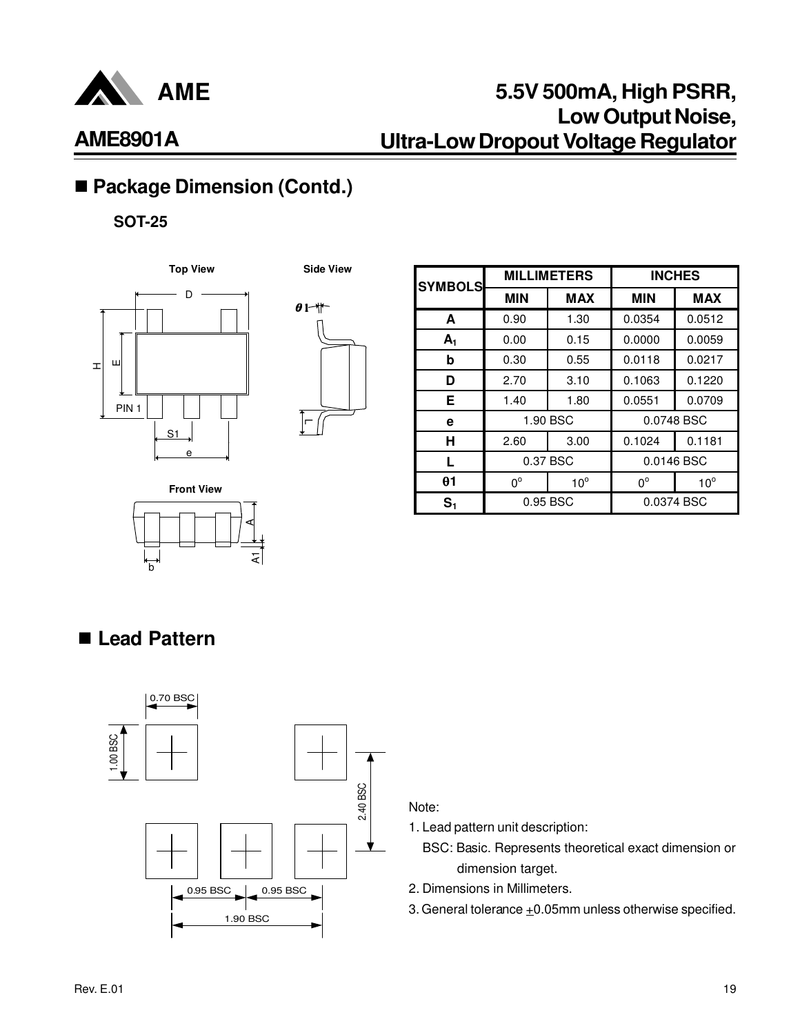

## **5.5V 500mA, High PSRR, Low Output Noise, Ultra-Low Dropout Voltage Regulator**

## ■ Package Dimension (Contd.)

**SOT-25**





| <b>SYMBOLS</b> |             | <b>MILLIMETERS</b> |             | <b>INCHES</b> |
|----------------|-------------|--------------------|-------------|---------------|
|                | <b>MIN</b>  | <b>MAX</b>         | <b>MIN</b>  | <b>MAX</b>    |
| A              | 0.90        | 1.30               | 0.0354      | 0.0512        |
| A <sub>1</sub> | 0.00        | 0.15               | 0.0000      | 0.0059        |
| b              | 0.30        | 0.55               | 0.0118      | 0.0217        |
| D              | 2.70        | 3.10               | 0.1063      | 0.1220        |
| Е              | 1.40        | 1.80               | 0.0551      | 0.0709        |
| е              |             | 1.90 BSC           |             | 0.0748 BSC    |
| н              | 2.60        | 3.00               | 0.1024      | 0.1181        |
| L              |             | 0.37 BSC           |             | 0.0146 BSC    |
| $\theta$ 1     | $0^{\circ}$ | $10^{\circ}$       | $0^{\circ}$ | $10^{\circ}$  |
| S <sub>1</sub> |             | 0.95 BSC           |             | 0.0374 BSC    |

**Front View**

## ■ Lead Pattern

b



হা

A

#### Note:

1. Lead pattern unit description:

- BSC: Basic. Represents theoretical exact dimension or dimension target.
- 2. Dimensions in Millimeters.
- 3. General tolerance  $\pm 0.05$ mm unless otherwise specified.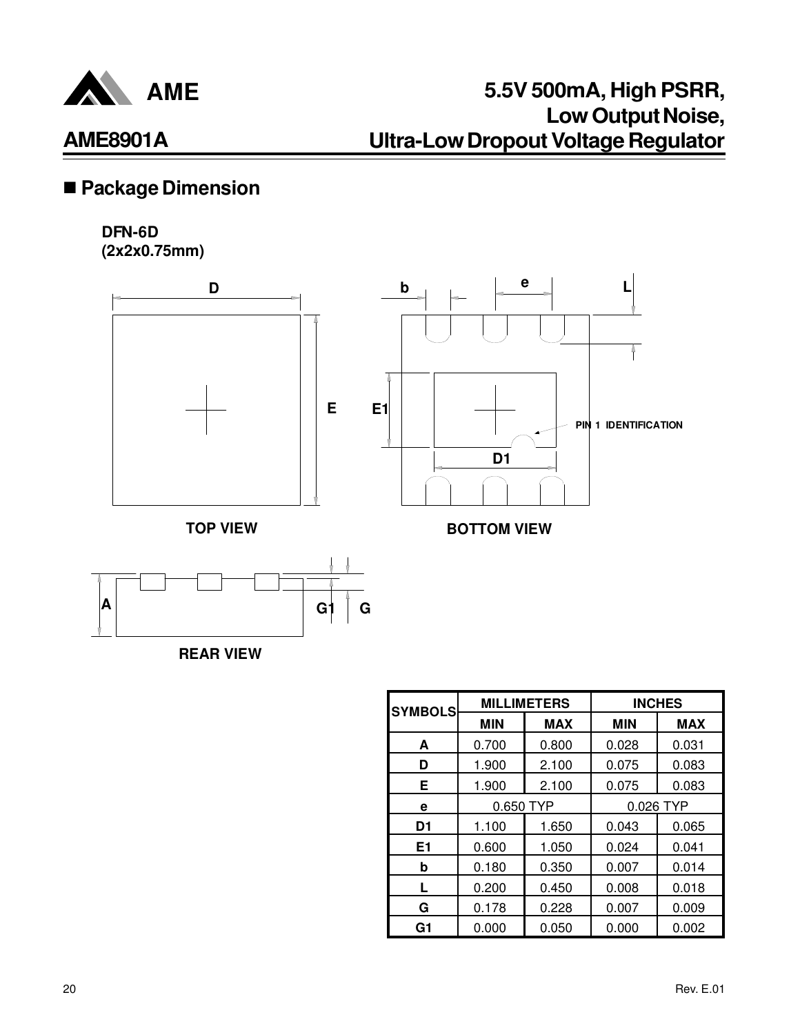

## ■ Package Dimension

#### **DFN-6D (2x2x0.75mm)**





**REAR VIEW**

| <b>SYMBOLS</b> | <b>MILLIMETERS</b> |            | <b>INCHES</b> |            |
|----------------|--------------------|------------|---------------|------------|
|                | <b>MIN</b>         | <b>MAX</b> | <b>MIN</b>    | <b>MAX</b> |
| A              | 0.700              | 0.800      | 0.028         | 0.031      |
| D              | 1.900              | 2.100      | 0.075         | 0.083      |
| E.             | 1.900              | 2.100      | 0.075         | 0.083      |
| е              | 0.650 TYP          |            | 0.026 TYP     |            |
| D1             | 1.100              | 1.650      | 0.043         | 0.065      |
| E1             | 0.600              | 1.050      | 0.024         | 0.041      |
| b              | 0.180              | 0.350      | 0.007         | 0.014      |
| L              | 0.200              | 0.450      | 0.008         | 0.018      |
| G              | 0.178              | 0.228      | 0.007         | 0.009      |
| G1             | 0.000              | 0.050      | 0.000         | 0.002      |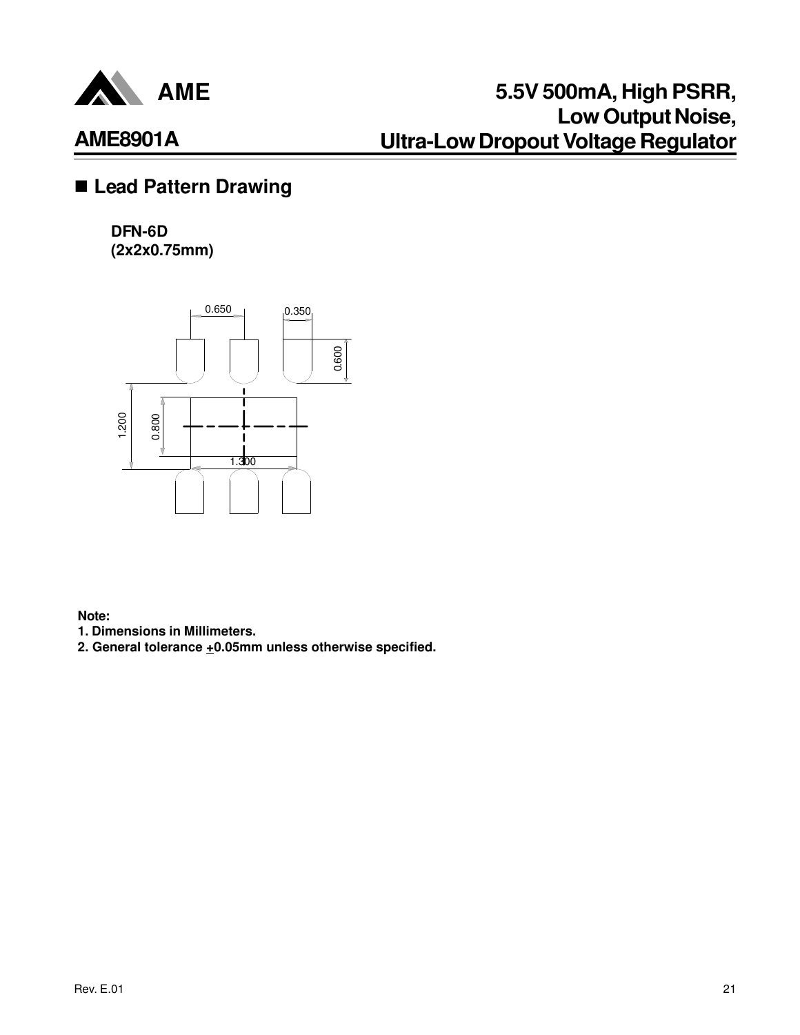

### n **Lead Pattern Drawing**

#### **DFN-6D (2x2x0.75mm)**



**Note:**

**1. Dimensions in Millimeters.**

**2. General tolerance +0.05mm unless otherwise specified.**